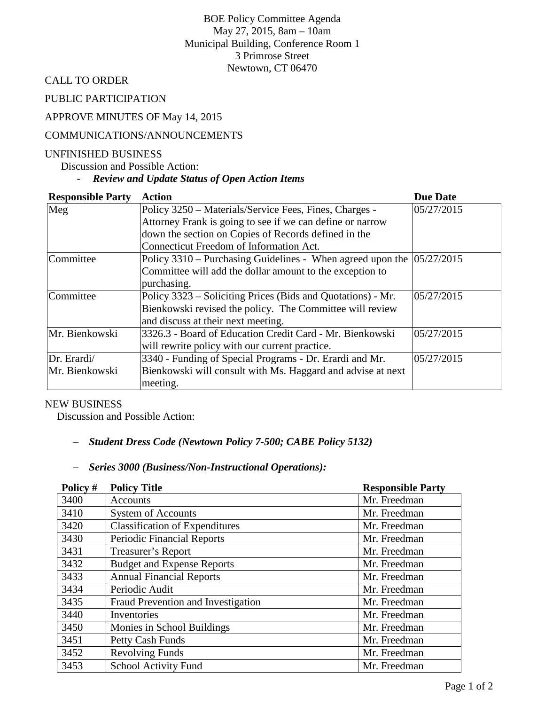BOE Policy Committee Agenda May 27, 2015, 8am – 10am Municipal Building, Conference Room 1 3 Primrose Street Newtown, CT 06470

CALL TO ORDER

PUBLIC PARTICIPATION

### APPROVE MINUTES OF May 14, 2015

#### COMMUNICATIONS/ANNOUNCEMENTS

#### UNFINISHED BUSINESS

Discussion and Possible Action:

# - *Review and Update Status of Open Action Items*

| <b>Responsible Party</b> | <b>Action</b>                                                             | <b>Due Date</b> |
|--------------------------|---------------------------------------------------------------------------|-----------------|
| Meg                      | Policy 3250 – Materials/Service Fees, Fines, Charges -                    | 05/27/2015      |
|                          | Attorney Frank is going to see if we can define or narrow                 |                 |
|                          | down the section on Copies of Records defined in the                      |                 |
|                          | Connecticut Freedom of Information Act.                                   |                 |
| Committee                | Policy 3310 – Purchasing Guidelines - When agreed upon the $ 05/27/2015 $ |                 |
|                          | Committee will add the dollar amount to the exception to                  |                 |
|                          | purchasing.                                                               |                 |
| Committee                | Policy 3323 – Soliciting Prices (Bids and Quotations) - Mr.               | 05/27/2015      |
|                          | Bienkowski revised the policy. The Committee will review                  |                 |
|                          | and discuss at their next meeting.                                        |                 |
| Mr. Bienkowski           | 3326.3 - Board of Education Credit Card - Mr. Bienkowski                  | 05/27/2015      |
|                          | will rewrite policy with our current practice.                            |                 |
| Dr. Erardi/              | 3340 - Funding of Special Programs - Dr. Erardi and Mr.                   | 05/27/2015      |
| Mr. Bienkowski           | Bienkowski will consult with Ms. Haggard and advise at next               |                 |
|                          | meeting.                                                                  |                 |

#### NEW BUSINESS

Discussion and Possible Action:

### − *Student Dress Code (Newtown Policy 7-500; CABE Policy 5132)*

### − *Series 3000 (Business/Non-Instructional Operations):*

| Policy # | <b>Policy Title</b>                   | <b>Responsible Party</b> |
|----------|---------------------------------------|--------------------------|
| 3400     | Accounts                              | Mr. Freedman             |
| 3410     | <b>System of Accounts</b>             | Mr. Freedman             |
| 3420     | <b>Classification of Expenditures</b> | Mr. Freedman             |
| 3430     | <b>Periodic Financial Reports</b>     | Mr. Freedman             |
| 3431     | Treasurer's Report                    | Mr. Freedman             |
| 3432     | <b>Budget and Expense Reports</b>     | Mr. Freedman             |
| 3433     | <b>Annual Financial Reports</b>       | Mr. Freedman             |
| 3434     | Periodic Audit                        | Mr. Freedman             |
| 3435     | Fraud Prevention and Investigation    | Mr. Freedman             |
| 3440     | Inventories                           | Mr. Freedman             |
| 3450     | Monies in School Buildings            | Mr. Freedman             |
| 3451     | Petty Cash Funds                      | Mr. Freedman             |
| 3452     | <b>Revolving Funds</b>                | Mr. Freedman             |
| 3453     | <b>School Activity Fund</b>           | Mr. Freedman             |